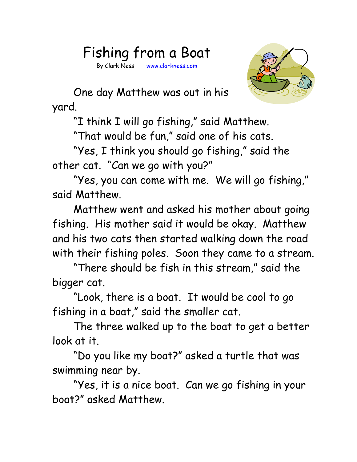## Fishing from a Boat

By Clark Ness www.clarkness.com



One day Matthew was out in his yard.

"I think I will go fishing," said Matthew.

"That would be fun," said one of his cats.

"Yes, I think you should go fishing," said the other cat. "Can we go with you?"

"Yes, you can come with me. We will go fishing," said Matthew.

Matthew went and asked his mother about going fishing. His mother said it would be okay. Matthew and his two cats then started walking down the road with their fishing poles. Soon they came to a stream.

"There should be fish in this stream," said the bigger cat.

"Look, there is a boat. It would be cool to go fishing in a boat," said the smaller cat.

The three walked up to the boat to get a better look at it.

"Do you like my boat?" asked a turtle that was swimming near by.

"Yes, it is a nice boat. Can we go fishing in your boat?" asked Matthew.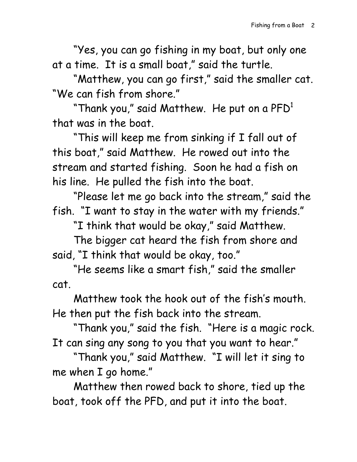"Yes, you can go fishing in my boat, but only one at a time. It is a small boat," said the turtle.

"Matthew, you can go first," said the smaller cat. "We can fish from shore."

"Thank you," said Matthew. He put on a  $\mathsf{PFD}^1$ that was in the boat.

"This will keep me from sinking if I fall out of this boat," said Matthew. He rowed out into the stream and started fishing. Soon he had a fish on his line. He pulled the fish into the boat.

"Please let me go back into the stream," said the fish. "I want to stay in the water with my friends."

"I think that would be okay," said Matthew.

The bigger cat heard the fish from shore and said, "I think that would be okay, too."

"He seems like a smart fish," said the smaller cat.

Matthew took the hook out of the fish's mouth. He then put the fish back into the stream.

"Thank you," said the fish. "Here is a magic rock. It can sing any song to you that you want to hear."

"Thank you," said Matthew. "I will let it sing to me when I go home."

Matthew then rowed back to shore, tied up the boat, took off the PFD, and put it into the boat.